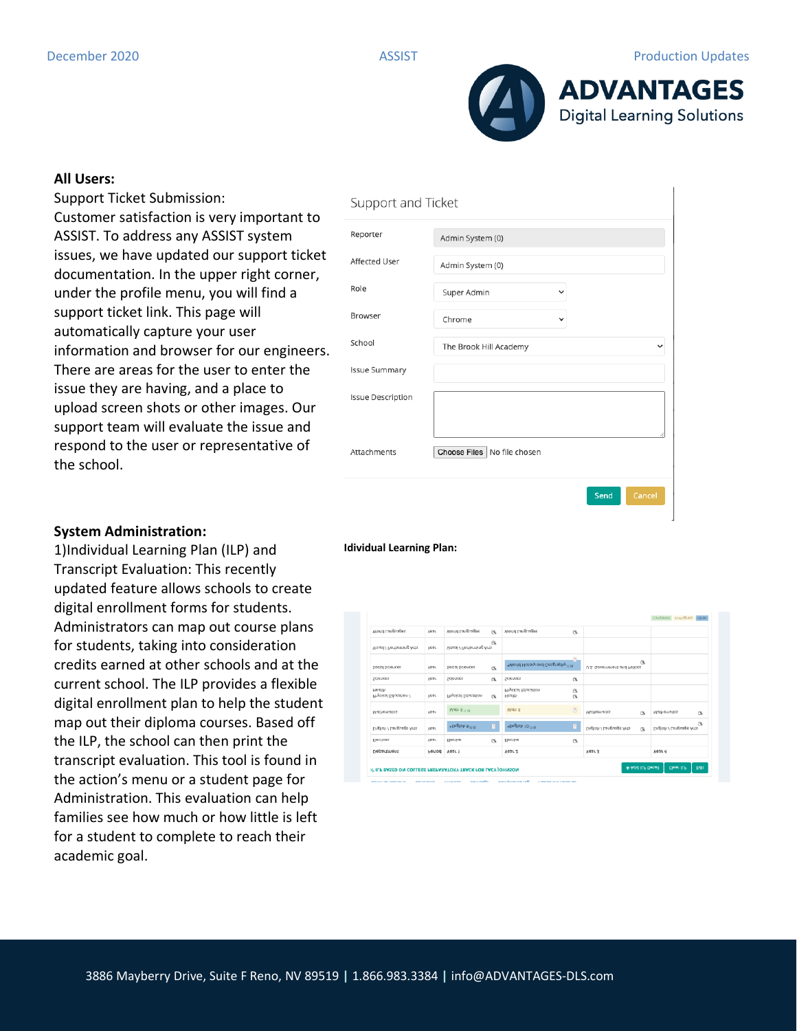

## **All Users:**

Support Ticket Submission: Customer satisfaction is very important to ASSIST. To address any ASSIST system issues, we have updated our support ticket documentation. In the upper right corner, under the profile menu, you will find a support ticket link. This page will automatically capture your user information and browser for our engineers. There are areas for the user to enter the issue they are having, and a place to upload screen shots or other images. Our support team will evaluate the issue and respond to the user or representative of the school.

# **System Administration:**

1)Individual Learning Plan (ILP) and Transcript Evaluation: This recently updated feature allows schools to create digital enrollment forms for students. Administrators can map out course plans for students, taking into consideration credits earned at other schools and at the current school. The ILP provides a flexible digital enrollment plan to help the student map out their diploma courses. Based off the ILP, the school can then print the transcript evaluation. This tool is found in the action's menu or a student page for Administration. This evaluation can help families see how much or how little is left for a student to complete to reach their academic goal.

| Support and Ticket       |                               |              |  |  |  |
|--------------------------|-------------------------------|--------------|--|--|--|
| Reporter                 | Admin System (0)              |              |  |  |  |
| Affected User            | Admin System (0)              |              |  |  |  |
| Role                     | Super Admin<br>$\checkmark$   |              |  |  |  |
| Browser                  | Chrome<br>$\checkmark$        |              |  |  |  |
| School                   | The Brook Hill Academy        | $\checkmark$ |  |  |  |
| <b>Issue Summary</b>     |                               |              |  |  |  |
| <b>Issue Description</b> |                               |              |  |  |  |
|                          |                               |              |  |  |  |
| Attachments              | Choose Files   No file chosen |              |  |  |  |
|                          | Send                          | Cancel       |  |  |  |

### **Idividual Learning Plan:**

| Department                     | Period      | Year 1                   |              | Year <sub>2</sub>                  |              | <b>Year 3</b>                            | Year 4                       |
|--------------------------------|-------------|--------------------------|--------------|------------------------------------|--------------|------------------------------------------|------------------------------|
| Electives                      | Year        | Elective                 | $\alpha$     | Elective                           | G.           |                                          |                              |
| English / Language Arts        | Year        | *English 9 (1.0)         | в            | *English 10 (1.9)                  | a            | English / Language Arts<br>$\mathbb{R}$  | 医<br>English / Language Arts |
| Mathematics                    | <b>AG9L</b> | Math 8 (1.0)             |              | Math 8                             | 8            | Mathematics<br>$\mathbb{R}$              | Mathematics<br>$\circ$       |
| Health<br>Physical Education / | Year        | Physical Education       | <b>R</b>     | Physical Education<br>Health       | CS.<br>CR.   |                                          |                              |
| Sciences                       | Year        | Sciences                 | $\alpha$     | Sciences                           | CS.          |                                          |                              |
| Social Sciences                | Year        | Social Sciences          | $\alpha$     | *World History and Geography (1.0) | a.           | $\alpha$<br>U.S. Government and Politics |                              |
| Visual / Performing Arts       | Year        | Visual / Performing Arts | $\mathbb{R}$ |                                    |              |                                          |                              |
| World Languages                | Year        | World Languages          | $\mathbb{R}$ | World Languages                    | $\mathbb{R}$ |                                          |                              |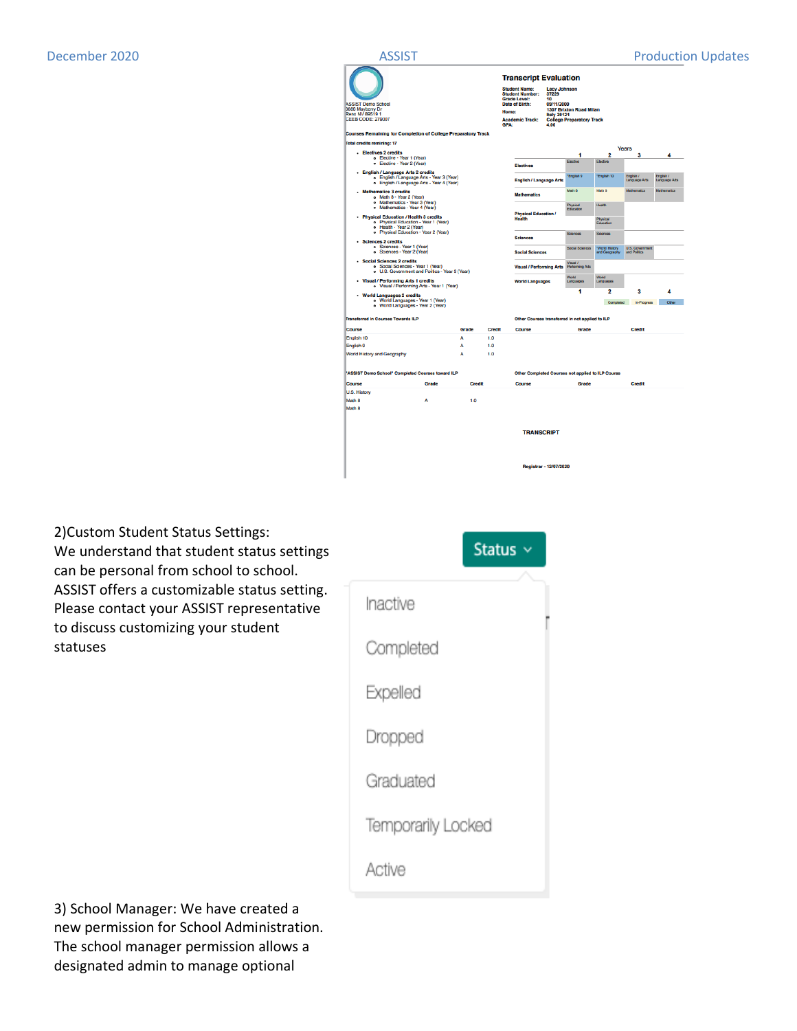



2)Custom Student Status Settings: We understand that student status settings can be personal from school to school. ASSIST offers a customizable status setting. Please contact your ASSIST representative to discuss customizing your student statuses



3) School Manager: We have created a new permission for School Administration. The school manager permission allows a designated admin to manage optional